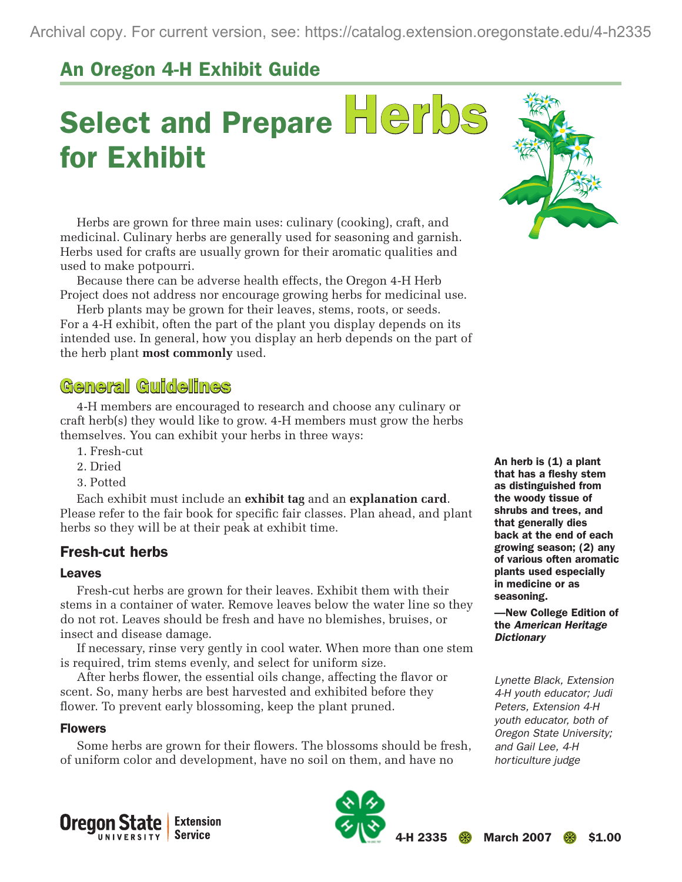# An Oregon 4-H Exhibit Guide

# Select and Prepare Herbs for Exhibit

Herbs are grown for three main uses: culinary (cooking), craft, and medicinal. Culinary herbs are generally used for seasoning and garnish. Herbs used for crafts are usually grown for their aromatic qualities and used to make potpourri.

Because there can be adverse health effects, the Oregon 4-H Herb Project does not address nor encourage growing herbs for medicinal use.

Herb plants may be grown for their leaves, stems, roots, or seeds. For a 4-H exhibit, often the part of the plant you display depends on its intended use. In general, how you display an herb depends on the part of the herb plant **most commonly** used.

# General Guidelines

4-H members are encouraged to research and choose any culinary or craft herb(s) they would like to grow. 4-H members must grow the herbs themselves. You can exhibit your herbs in three ways:

- 1. Fresh-cut
- 2. Dried
- 3. Potted

Each exhibit must include an **exhibit tag** and an **explanation card**. Please refer to the fair book for specific fair classes. Plan ahead, and plant herbs so they will be at their peak at exhibit time.

## Fresh-cut herbs

#### Leaves

Fresh-cut herbs are grown for their leaves. Exhibit them with their stems in a container of water. Remove leaves below the water line so they do not rot. Leaves should be fresh and have no blemishes, bruises, or insect and disease damage.

If necessary, rinse very gently in cool water. When more than one stem is required, trim stems evenly, and select for uniform size.

After herbs flower, the essential oils change, affecting the flavor or scent. So, many herbs are best harvested and exhibited before they flower. To prevent early blossoming, keep the plant pruned.

#### Flowers

Some herbs are grown for their flowers. The blossoms should be fresh, of uniform color and development, have no soil on them, and have no



An herb is  $(1)$  a plant that has a fleshy stem as distinguished from the woody tissue of shrubs and trees, and that generally dies back at the end of each growing season; (2) any of various often aromatic plants used especially in medicine or as seasoning.

—New College Edition of the *American Heritage Dictionary*

*Lynette Black, Extension 4-H youth educator; Judi Peters, Extension 4-H youth educator, both of Oregon State University; and Gail Lee, 4-H horticulture judge*



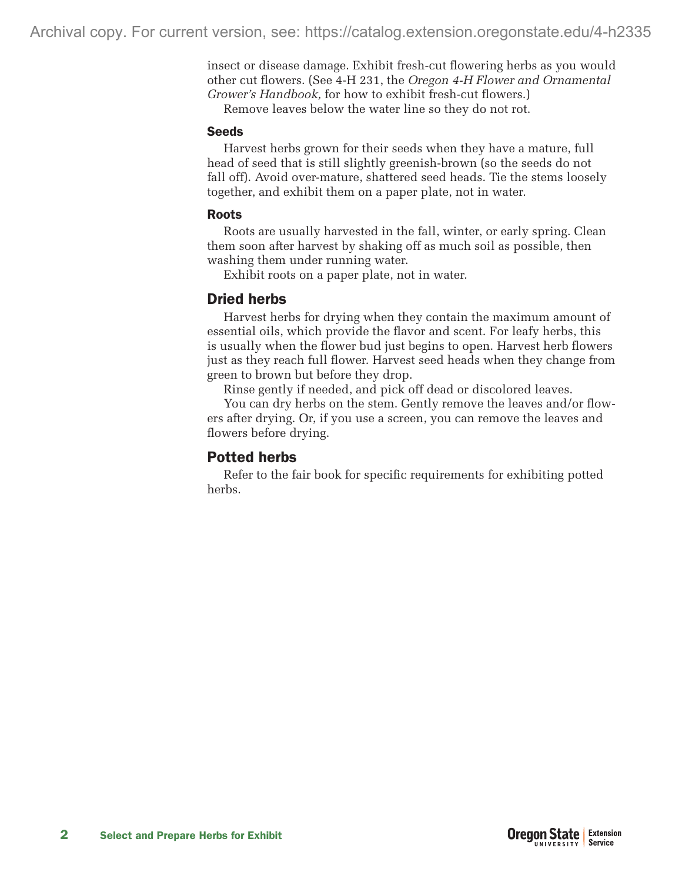insect or disease damage. Exhibit fresh-cut flowering herbs as you would other cut flowers. (See 4-H 231, the *Oregon 4-H Flower and Ornamental Grower's Handbook,* for how to exhibit fresh-cut flowers.)

Remove leaves below the water line so they do not rot.

#### Seeds

Harvest herbs grown for their seeds when they have a mature, full head of seed that is still slightly greenish-brown (so the seeds do not fall off). Avoid over-mature, shattered seed heads. Tie the stems loosely together, and exhibit them on a paper plate, not in water.

#### Roots

Roots are usually harvested in the fall, winter, or early spring. Clean them soon after harvest by shaking off as much soil as possible, then washing them under running water.

Exhibit roots on a paper plate, not in water.

# Dried herbs

Harvest herbs for drying when they contain the maximum amount of essential oils, which provide the flavor and scent. For leafy herbs, this is usually when the flower bud just begins to open. Harvest herb flowers just as they reach full flower. Harvest seed heads when they change from green to brown but before they drop.

Rinse gently if needed, and pick off dead or discolored leaves.

You can dry herbs on the stem. Gently remove the leaves and/or flowers after drying. Or, if you use a screen, you can remove the leaves and flowers before drying.

## Potted herbs

Refer to the fair book for specific requirements for exhibiting potted herbs.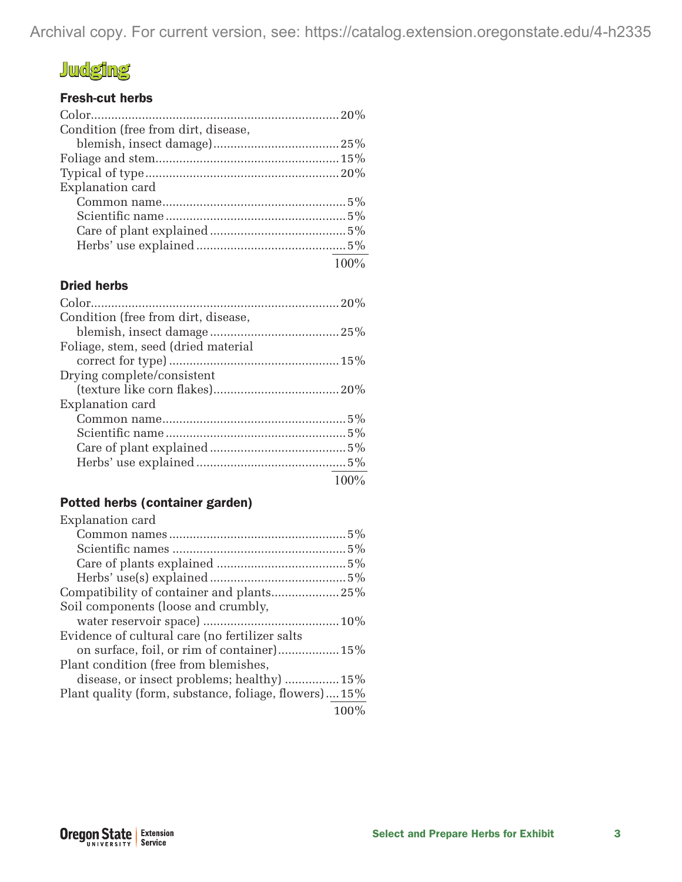Archival copy. For current version, see: https://catalog.extension.oregonstate.edu/4-h2335

# **Judging**

### Fresh-cut herbs

| Condition (free from dirt, disease, |         |
|-------------------------------------|---------|
|                                     |         |
|                                     |         |
|                                     |         |
| Explanation card                    |         |
|                                     |         |
|                                     |         |
|                                     |         |
|                                     |         |
|                                     | $100\%$ |

#### Dried herbs

| Condition (free from dirt, disease, |      |
|-------------------------------------|------|
|                                     |      |
| Foliage, stem, seed (dried material |      |
|                                     |      |
| Drying complete/consistent          |      |
|                                     |      |
| Explanation card                    |      |
|                                     |      |
|                                     |      |
|                                     |      |
|                                     |      |
|                                     | 100% |

## Potted herbs (container garden)

| Explanation card                                      |
|-------------------------------------------------------|
|                                                       |
|                                                       |
|                                                       |
|                                                       |
| Compatibility of container and plants25%              |
| Soil components (loose and crumbly,                   |
|                                                       |
| Evidence of cultural care (no fertilizer salts        |
| on surface, foil, or rim of container) 15%            |
| Plant condition (free from blemishes,                 |
| disease, or insect problems; healthy)  15%            |
| Plant quality (form, substance, foliage, flowers) 15% |
| 100%                                                  |